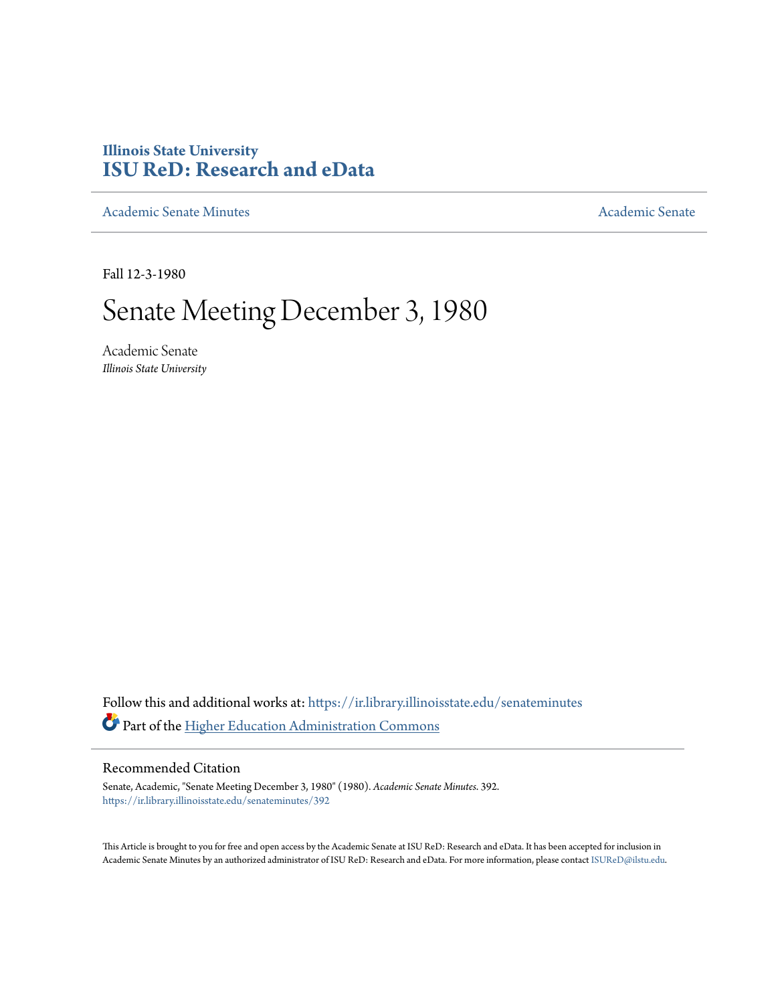# **Illinois State University [ISU ReD: Research and eData](https://ir.library.illinoisstate.edu?utm_source=ir.library.illinoisstate.edu%2Fsenateminutes%2F392&utm_medium=PDF&utm_campaign=PDFCoverPages)**

[Academic Senate Minutes](https://ir.library.illinoisstate.edu/senateminutes?utm_source=ir.library.illinoisstate.edu%2Fsenateminutes%2F392&utm_medium=PDF&utm_campaign=PDFCoverPages) [Academic Senate](https://ir.library.illinoisstate.edu/senate?utm_source=ir.library.illinoisstate.edu%2Fsenateminutes%2F392&utm_medium=PDF&utm_campaign=PDFCoverPages) Academic Senate

Fall 12-3-1980

# Senate Meeting December 3, 1980

Academic Senate *Illinois State University*

Follow this and additional works at: [https://ir.library.illinoisstate.edu/senateminutes](https://ir.library.illinoisstate.edu/senateminutes?utm_source=ir.library.illinoisstate.edu%2Fsenateminutes%2F392&utm_medium=PDF&utm_campaign=PDFCoverPages) Part of the [Higher Education Administration Commons](http://network.bepress.com/hgg/discipline/791?utm_source=ir.library.illinoisstate.edu%2Fsenateminutes%2F392&utm_medium=PDF&utm_campaign=PDFCoverPages)

# Recommended Citation

Senate, Academic, "Senate Meeting December 3, 1980" (1980). *Academic Senate Minutes*. 392. [https://ir.library.illinoisstate.edu/senateminutes/392](https://ir.library.illinoisstate.edu/senateminutes/392?utm_source=ir.library.illinoisstate.edu%2Fsenateminutes%2F392&utm_medium=PDF&utm_campaign=PDFCoverPages)

This Article is brought to you for free and open access by the Academic Senate at ISU ReD: Research and eData. It has been accepted for inclusion in Academic Senate Minutes by an authorized administrator of ISU ReD: Research and eData. For more information, please contact [ISUReD@ilstu.edu.](mailto:ISUReD@ilstu.edu)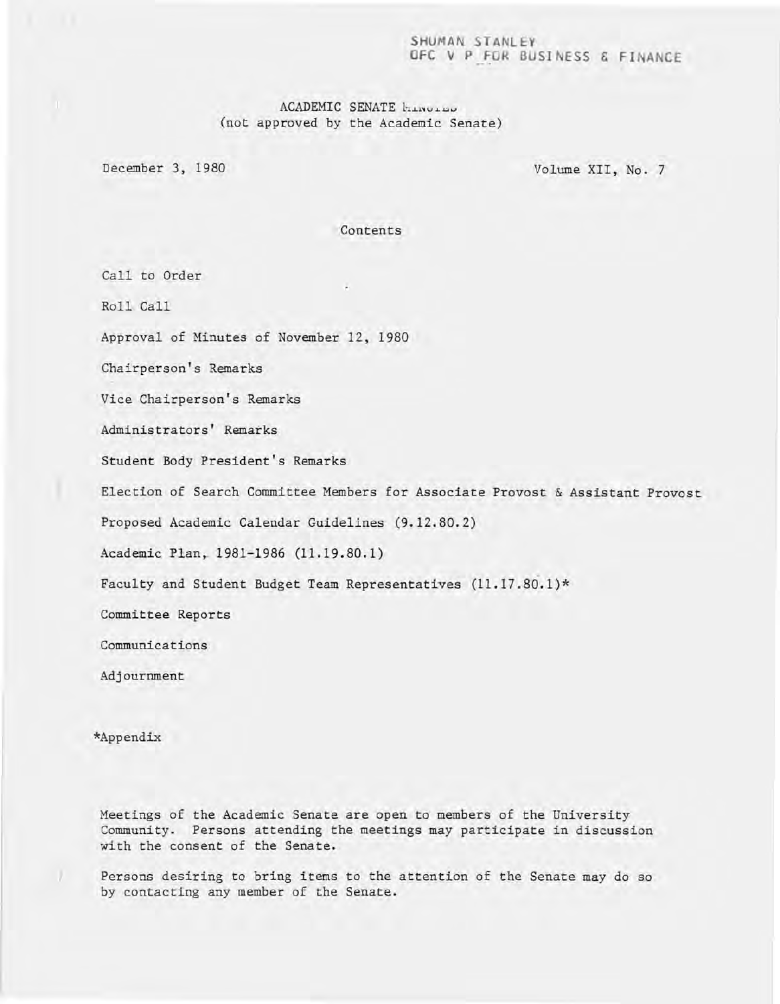### SHUMAN STANLEY OFC V P FOR BUSINESS & **FI** ANCE

# ACADEMIC SENATE hinding (not approved by the Academic Senate)

December 3, 1980 Volume XII, No. 7

Contents

Call to Order

Roll. Call

 $\mathbf{L}$ 

Approval of Minutes of November 12, 1980

Chairperson's Remarks

Vice Chairperson's Remarks

Administrators' Remarks

Student Body President's Remarks

Election of Search Committee Members for Associate Provost & Assistant Provost

Proposed Academic Calendar Guidelines (9.12.80.2)

Academic Plan, 1981-1986 (11.19.80.1)

Faculty and Student Budget Team Representatives (11.17.80.1)\*

Committee Reports

Communications

Adjournment

\*Appendix

Meetings of the Academic Senate are open to members of the University Community. Persons attending the meetings may participate in discussion with the consent of the Senate.

Persons desiring to bring items to the attention of the Senate may do so by contacting any member of the Senate.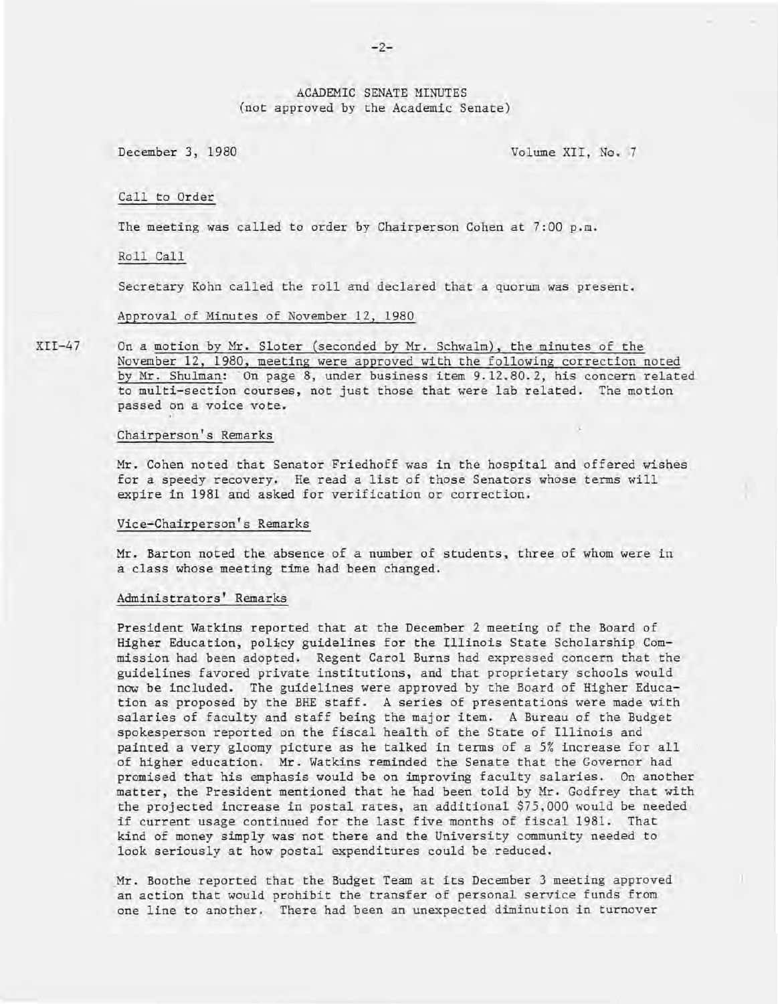# ACADEMIC SENATE MINUTES (not approved by the Academic Senate)

December 3, 1980 Volume XII, No. 7

Call to Order

The meeting was called to order by Chairperson Cohen at 7:00 p.m.

Roll Call

Secretary Kohn called the roll and declared that a quorum was present.

Approval of Minutes of November 12, 1980

XII-47 On a motion by Mr. Sloter (seconded by Mr. Schwalm), the minutes of the November 12, 1980, meeting were approved with the following correction noted by Mr. Shulman: On page 8, under business item 9.12.80.2, his concern related to multi-section courses, not just those that were lab related. The motion passed on a voice vote.

#### Chairperson's Remarks

Mr. Cohen noted that Senator Friedhoff was in the hospital and offered wishes for a speedy recovery. He read a list of those Senators whose terms will expire in 1981 and asked for verification or correction.

#### Vice-Chairperson's Remarks

Mr. Barton noted the absence of a number of students, three of whom were in a class whose meeting time had been changed.

#### Administrators' Remarks

President Watkins reported that at the December 2 meeting of the Board of Higher Education, policy guidelines for the Illinois State Scholarship Commission had been adopted. Regent Carol Burns had expressed concern that the guidelines favored private institutions, and that proprietary schools would now be included. The guidelines were approved by the Board of Higher Education as proposed by the BHE staff. A series of presentations were made with salaries of faculty and staff being the major item. A Bureau of the Budget spokesperson reported on the fiscal health of the State of Illinois and painted a very gloomy picture as he talked in terms of a 5% increase for all of higher education. Mr. Watkins reminded the Senate that the Governor had promised that his emphasis would be on improving faculty salaries. On another matter, the President mentioned that he had been told by Mr. Godfrey that with the projected increase in postal rates, an additional \$75,000 would be needed if current usage continued for the last five months of fiscal 1981. That kind of money simply was not there and the University community needed to look seriously at how postal expenditures could be reduced.

. Mr. Boothe reported that the Budget Team at its December 3 meeting approved an action that would prohibit the transfer of personal service funds from one line to another. There had been an unexpected diminution in turnover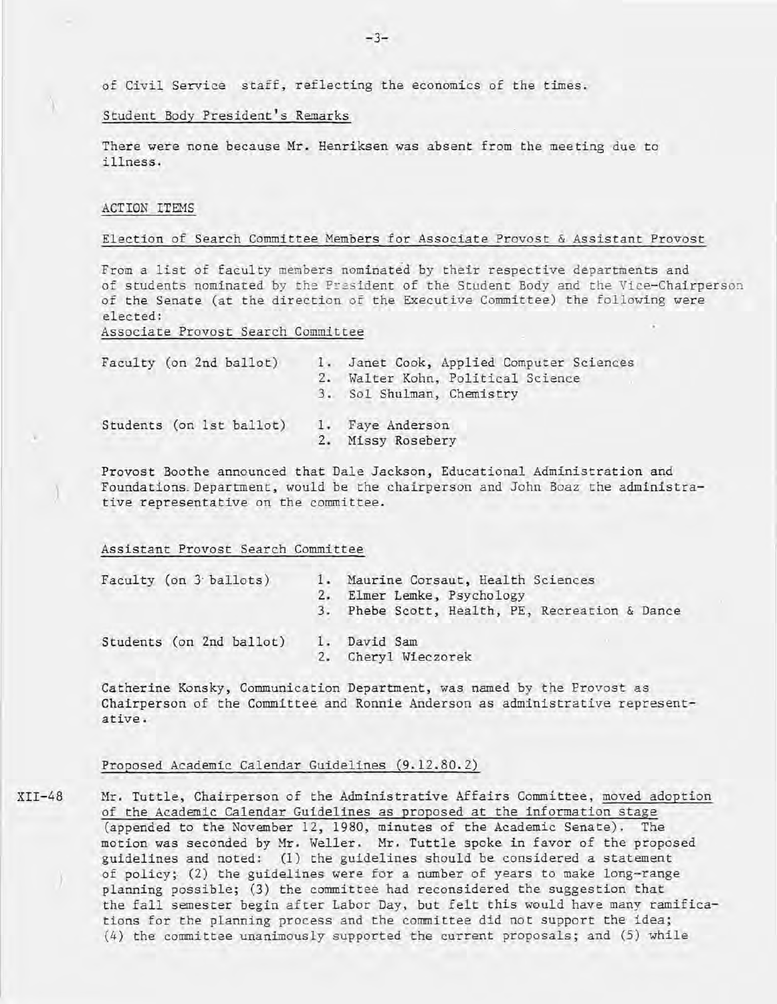of Civil Service staff, reflecting the economics of the times.

#### Student Body President's Remarks

There were none because Mr. Henriksen was absent from the meeting due to illness.

#### ACTION ITEMS

)

)

#### Election of Search Committee Members for Associate Provost & Assistant Provost

From a list of faculty members nominated by their respective departments and of students nominated by the President of the Student Body and the Vice-Chairperson of the Senate (at the direction of the Executive Committee) the following were elected:

Associate Provost Search Committee

| Faculty (on 2nd ballot)  | 1. Janet Cook, Applied Computer Sciences<br>2. Walter Kohn, Political Science<br>3. Sol Shulman, Chemistry |
|--------------------------|------------------------------------------------------------------------------------------------------------|
| Students (on 1st ballot) | 1. Faye Anderson<br>Missy Rosebery                                                                         |

Provost Boothe announced that Dale Jackson, Educational Administration and Foundations. Department, would be the chairperson and John Boaz the administrative representative on the committee.

#### Assistant Provost Search Committee

| Faculty (on 3 ballots)   | 1. Maurine Corsaut, Health Sciences<br>2. Elmer Lemke, Psychology |
|--------------------------|-------------------------------------------------------------------|
|                          | 3. Phebe Scott, Health, PE, Recreation & Dance                    |
| Students (on 2nd ballot) | 1. David Sam<br>Cheryl Wieczorek                                  |

Catherine Konsky, Communication Department, was named by the Provost as Chairperson of the Committee and Ronnie Anderson as administrative representative.

# Proposed Academic Calendar Guidelines (9.12.80.2)

XII-48 Mr. Tuttle, Chairperson of the Administrative Affairs Committee, moved adoption of the Academic Calendar Guidelines as proposed at the information stage (appended to the November 12, 1980, minutes of the Academic Senate). The motion was seconded by Mr. Weller. Mr. Tuttle spoke in favor of the proposed guidelines and noted: (1) the guidelines should be considered a statement of policy; (2) the guidelines were for a number of years to make long-range planning possible; (3) the committee had reconsidered the suggestion that the fall semester begin after Labor Day, but felt this would have many ramifications for the planning process and the committee did not support the idea;  $(4)$  the committee unanimously supported the current proposals; and  $(5)$  while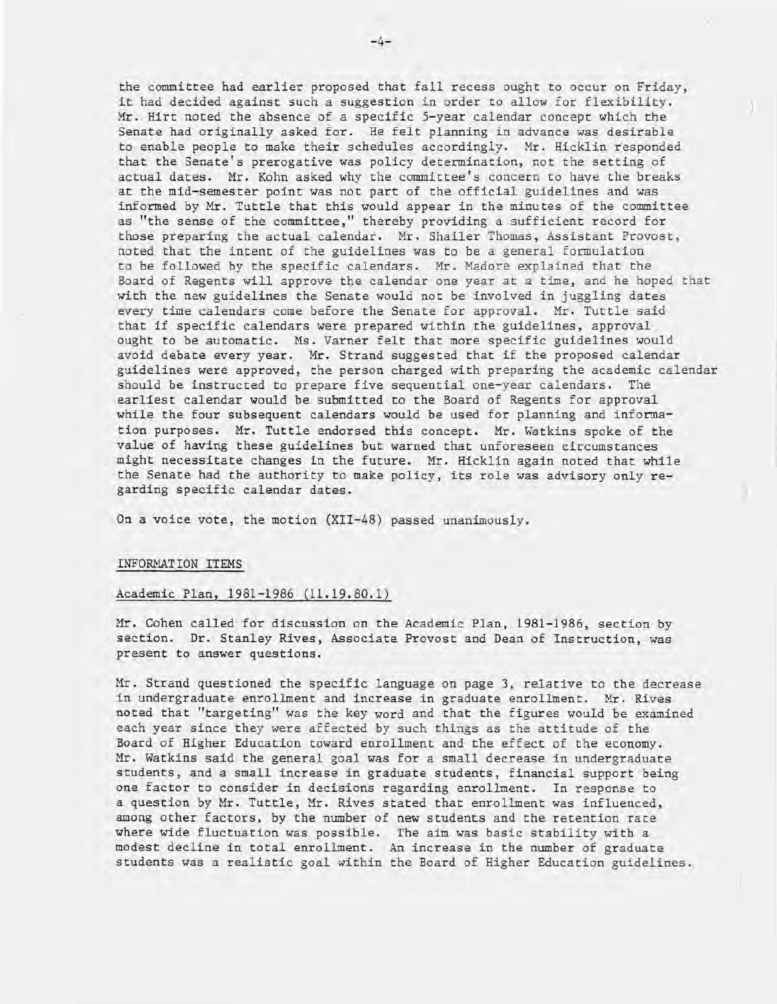the committee had earlier proposed that fall recess ought to occur on Friday, it had decided against such a suggestion in order to allow for flexibility. Mr. Hirt noted the absence of a specific 5-year calendar concept which the Senate had originally asked for. He felt planning in advance was desirable to enable people to make their schedules accordingly. Mr. Hicklin responded that the Senate's prerogative was policy determination, not the setting of actual dates. Mr. Kohn asked why the committee's concern to have the breaks at the mid-semester point was not part of the official guidelines and was informed by Mr. Tuttle that this would appear in the minutes of the committee as "the sense of the committee," thereby providing a sufficient record for those preparing the actual calendar. Mr. Shailer Thomas, Assistant Provost, noted that the intent of the guidelines was to be a general formulation to be followed by the specific calendars. Mr. Madore explained that the Board of Regents will approve the calendar one year at a time, and he hoped that with the new guidelines the Senate would not be involved in juggling dates every time calendars come before the Senate for approval. Mr. Tuttle said that if specific calendars were prepared within the guidelines, approval ought to be automatic. Ms. Varner felt that more specific guidelines would avoid debate every year. Mr. Strand suggested that if the proposed calendar guidelines were approved, the person charged with preparing the academic calendar should be instructed to prepare five sequential one-year calendars. The earliest calendar would be submitted to the Board of Regents for approval while the four subsequent calendars would be used for planning and information purposes. Mr. Tuttle endorsed this concept. Mr. Watkins spoke of the value of having these guidelines but warned that unforeseen circumstances might necessitate changes in the future. Mr. Hicklin again noted that while the Senate had the authority to make policy, its role was advisory only regarding specific calendar dates.

On a voice vote, the motion (XII-48) passed unanimously.

#### INFORMATION ITEMS

#### Academic Plan, 1981-1986 (11.19.80.1)

Mr. Cohen called for discussion on the Academic Plan, 1981-1986, section by section. Dr. Stanley Rives, Associate Provost and Dean of Instruction, was present to answer questions.

Mr. Strand questioned the specific language on page 3, relative to the decrease in undergraduate enrollment and increase in graduate enrollment. Mr. Rives noted that "targeting" was the key word and that the figures would be examined each year since they were affected by such things as the attitude of the Board of Higher Education toward enrollment and the effect of the economy. Mr. Watkins said the general goal was for a small decrease in undergraduate students, and a small increase in graduate students, financial support being one factor to consider in decisions regarding enrollment. In response to a question by Mr. Tuttle, Mr. Rives stated that enrollment was influenced, among other factors, by the number of new students and the retention rate where wide fluctuation was possible. The aim was basic stability with a modest decline in total enrollment. An increase in the number of graduate students was a realistic goal within the Board of Higher Education guidelines.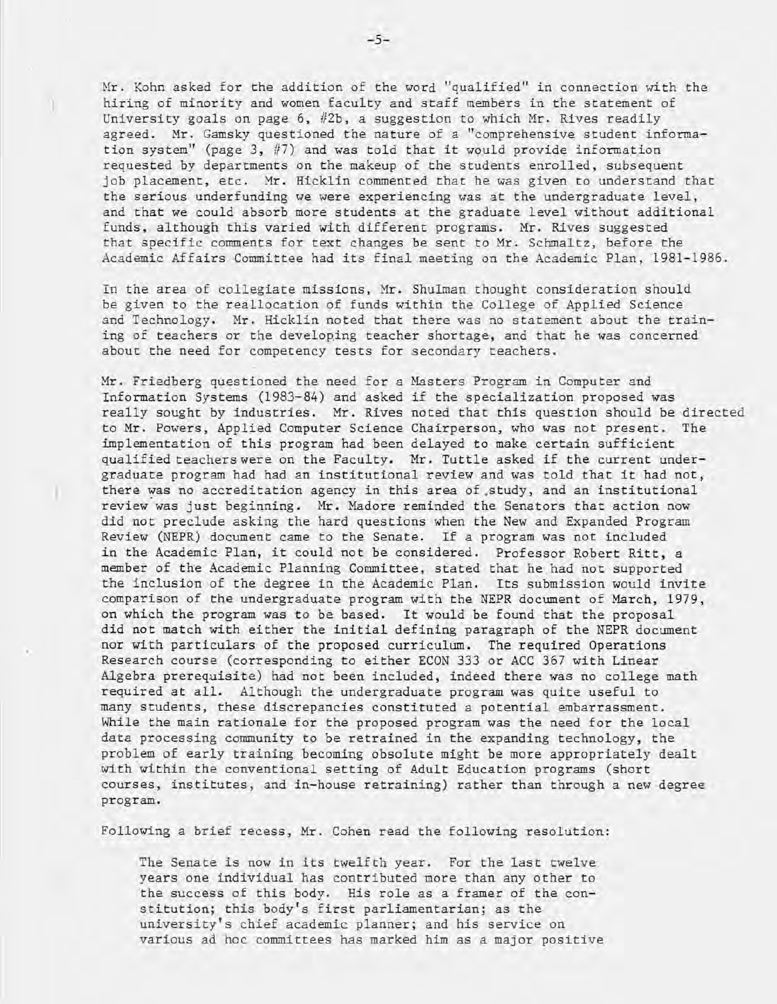Hr. Kohn asked for the addition of the word "qualified" in connection with the hiring of minority and women faculty and staff members in the statement of University goals on page 6,  $#2b$ , a suggestion to which Mr. Rives readily agreed. Mr. Gamsky questioned the nature of a "comprehensive student information system" (page 3, #7) and was told that it would provide information requested by departments on the makeup of the students enrolled, subsequent job placement, etc. Mr. Hicklin commented that he was given to understand that the serious underfunding we were experiencing was at the undergraduate level, and that we could absorb more students at the graduate level without additional funds, although this varied with different programs. Mr. Rives suggested that specific comments for text changes be sent to Mr. Schmaltz, before the Academic Affairs Committee had its final meeting on the Academic Plan, 1981-1986.

In the area of collegiate missions, Mr. Shulman thought consideration should be given to the reallocation of funds within the College of Applied Science and Technology. Mr. Hicklin noted that there was no statement about the training of teachers or the developing teacher shortage, and that he was concerned about the need for competency tests for secondary teachers.

Mr. Friedberg questioned the need for a Masters Program in Computer and Information Systems (1983-84) and asked if the specialization proposed was really sought by industries. Mr. Rives noted that this question should be directed to Mr. Powers, Applied Computer Science Chairperson, who was not present. The implementation of this program had been delayed to make certain sufficient qualified teachers were on the Faculty. Mr. Tuttle asked if the current undergraduate program had had an institutional review and was told that it had not, there was no accreditation agency in this area of study, and an institutional review was just beginning. Mr. Madore reminded the Senators that action now did not preclude asking the hard questions when the New and Expanded Program Review (NEPR) document came to the Senate. If a program was not included in the Academic Plan, it could not be considered. Professor Robert Ritt, a member of the Academic Planning Committee, stated that he had not supported the inclusion of the degree in the Academic Plan. Its submission would invite comparison of the undergraduate program with the NEPR document of March, 1979, on which the program was to be based. It would be found that the proposal did not match with either the initial defining paragraph of the NEPR document nor with particulars of the proposed curriculum. The required Operations Research course (corresponding to either ECON 333 or ACC 367 with Linear Algebra prerequisite) had not been included, indeed there was no college math required at all. Although the undergraduate program was quite useful to many students, these discrepancies constituted a potential embarrassment. While the main rationale for the proposed program was the need for the local data processing community to be retrained in the expanding technology, the problem of early training becoming obsolute might be more appropriately dealt with within the conventional setting of Adult Education programs (short courses, institutes, and in-house retraining) rather than through a new degree program.

Following a brief recess, Mr . Cohen read the following resolution:

)

The Senate is now in its twelfth year. For the last twelve years one individual has contributed more than any other to the success of this body. His role as a framer of the constitution; this body's first parliamentarian; as the university's chief academic planner; and his service on various ad hoc committees has marked him as a major positive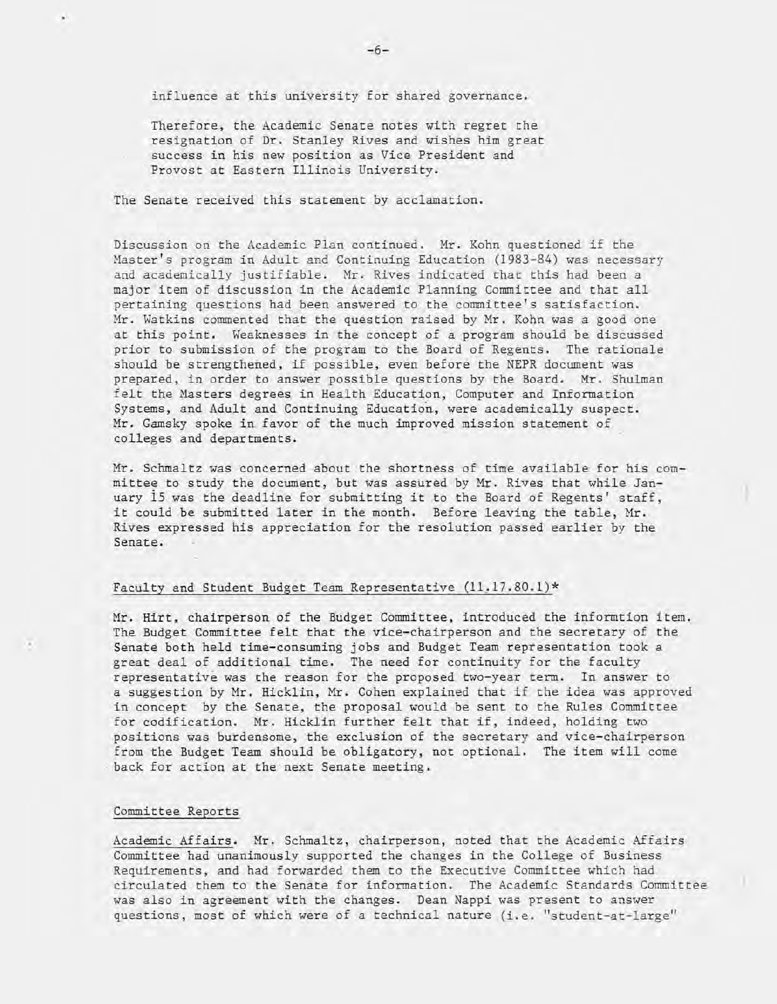influence at this university for shared governance.

Therefore, the Academic Senate notes with regret the resignation of Dr. Stanley Rives and wishes him great success in his new position as Vice President and Provost at Eastern Illinois University.

The Senate received this statement by acclamation.

Discussion on the Academic Plan continued. Mr. Kohn questioned if the Master's program in Adult and Continuing Education (1983-84) was necessary and academically justifiable. Mr. Rives indicated that this had been a major item of discussion in the Academic Planning Committee and that all pertaining questions had been answered to the committee's satisfaction. Mr. Watkins commented that the question raised by Mr. Kohn was a good one at this point. Weaknesses in "the concept of a program should be discussed prior to submission of the program to the Board of Regents. The rationale should be strengthened, if possible, even before the NEPR document was prepared, in order to answer possible questions by the Board. Mr. Shulman felt the Masters degrees in Health Education, Computer and Information Systems, and Adult and Continuing Education, were academically suspect. Mr. Gamsky spoke in favor of the much improved mission statement of colleges and departments.

Mr. Schmaltz was concerned about the shortness of time available for his committee to study the document, but was assured by Mr. Rives that while January 15 was the deadline for submitting it to the Board of Regents' staff, it could be submitted later in the month. Before leaving the table, Mr. Rives expressed his appreciation for the resolution passed earlier by the Senate.

#### Faculty and Student Budget Team Representative  $(11.17.80.1)*$

Mr. Hirt, chairperson of the Budget Committee, introduced the informtion item. The Budget Committee felt that the vice-chairperson and the secretary of the Senate both held time-consuming jobs and Budget Team representation took a great deal of additional time. The need for continuity for the faculty representative was the reason for the proposed two-year term. In answer to a suggestion by Mr. Hicklin, Mr. Cohen explained that if the idea was approved in concept by the Senate, the proposal would be sent to the Rules Committee for codification. Mr. Hicklin further felt that if, indeed, holding two positions was burdensome, the exclusion of the secretary and vice-chairperson from the Budget Team should be obligatory, not optional. The item will come back for action at the next Senate meeting.

#### Committee Reports

Academic Affairs. Mr. Schmaltz, chairperson, noted that the Academic Affairs Committee had unanimously supported the changes in the College of Business Requirements, and had forwarded them to the Executive Committee which had circulated them to the Senate for information. The Academic Standards Committee was also in agreement with the changes. Dean Nappi was present to answer questions, most of which were of a technical nature (i.e. "student-at-large"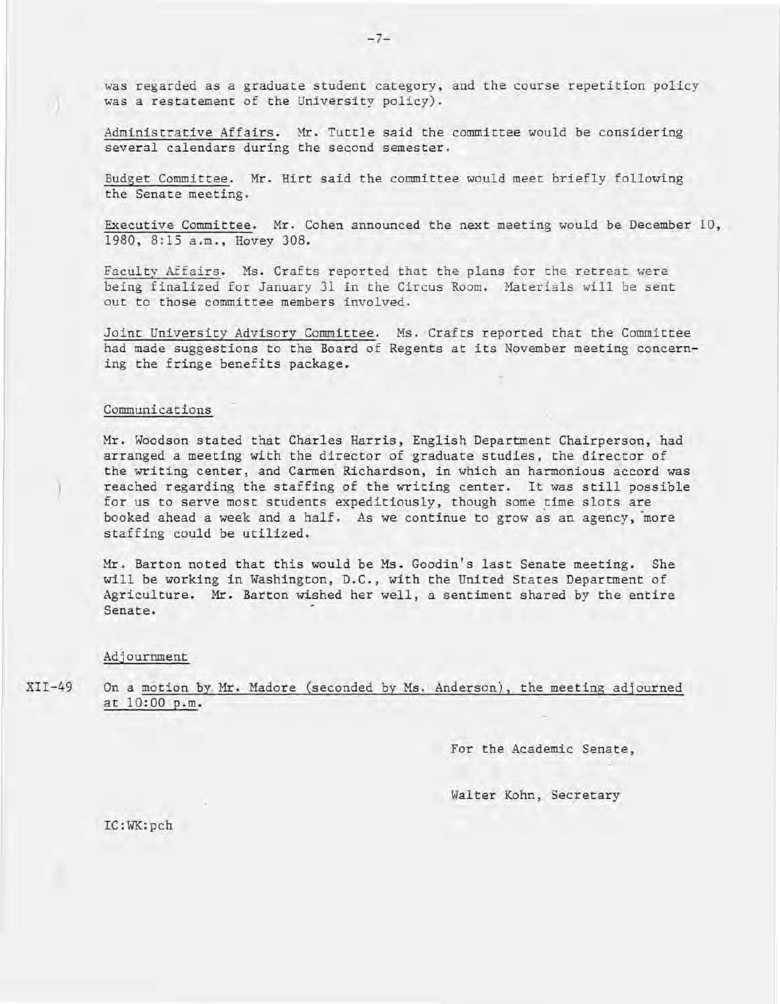was regarded as a graduate student category, and the course repetition policy was a restatement of the University policy) .

Administrative Affairs. Mr. Tuttle said the committee would be considering several calendars during the second semester.

Budget Committee. Mr. Hirt said the committee would meet briefly following the Senate meeting.

Executive Committee. Mr. Cohen announced the next meeting would be December 10, 1980, 8:15 a.m., Hovey 308.

Faculty Affairs. Ms. Crafts reported that the plans for the retreat were being finalized for January 31 in the Circus Room. Materials will be sent out to those committee members involved.

Joint University Advisory Committee. Ms. Crafts reported that the Committee had made suggestions to the Board of Regents at its November meeting concerning the fringe benefits package.

#### Communications

)

Mr. Woodson stated that Charles Harris, English Department Chairperson, had arranged a meeting with the director of graduate studies, the director of the writing center, and Carmen Richardson, in which an harmonious accord was reached regarding the staffing of the writing center. It was still possible for us to serve most students expeditiously, though some time slots are booked ahead a week and a half. As we continue to grow as an agency , more staffing could be utilized.

Mr. Barton noted that this would be Ms. Goodin's last Senate meeting. She will be working in Washington, D.C., with the United States Department of Agriculture. Mr. Barton wished her well, a sentiment shared by the entire Senate.

#### Adjournment

XII-49 On a motion by Mr. Madore (seconded by Ms. Anderson), the meeting adjourned at 10:00 p.m.

For the Academic Senate,

Walter Kohn, Secretary

LC:WK:pch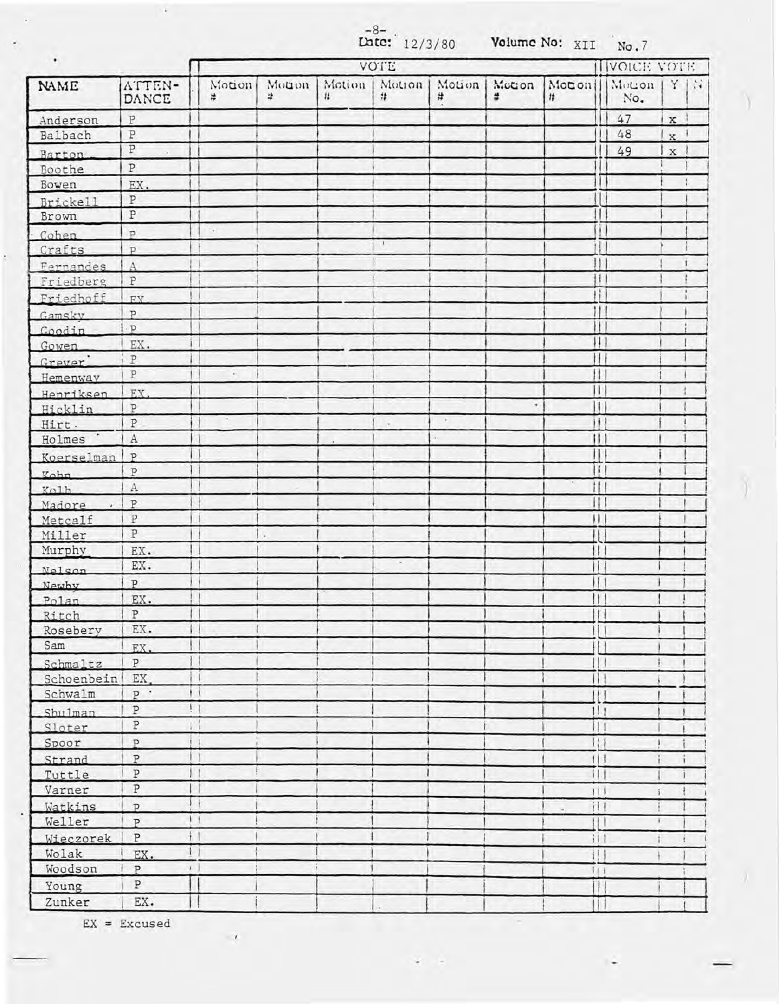|                     |                         |              | $-8-$<br>Late: 12/3/80<br>Volume No: XII |              |              |                         |                     |              | No.7                   |               |             |               |  |
|---------------------|-------------------------|--------------|------------------------------------------|--------------|--------------|-------------------------|---------------------|--------------|------------------------|---------------|-------------|---------------|--|
| $\bullet$           |                         |              |                                          |              |              |                         |                     | VOICE VOTE   |                        |               |             |               |  |
| NAME                | ATTEN-<br>DANCE         | Motion<br>#  | Mouon<br>¥.                              | Motion<br>11 | Motion<br>#  | #                       | Motion   Mccon<br># | Monon<br>拌   |                        | Motion<br>No. | Y           | $\mathcal{M}$ |  |
| Anderson            | $\, {\bf P}$            |              |                                          |              |              |                         |                     |              |                        | 47            | $\mathbf x$ |               |  |
| Balbach             | $\, {\mathbb P}$        |              |                                          |              |              |                         |                     |              |                        | 48            | x.          |               |  |
| Barton.             | $\overline{\mathbb{P}}$ |              |                                          |              |              |                         |                     |              |                        | 49            | $\mathbf x$ |               |  |
| Boothe              | $\, {\bf P}$            |              |                                          |              |              |                         |                     |              |                        |               |             |               |  |
| Bowen               | EX.                     |              |                                          |              |              |                         |                     |              |                        |               |             |               |  |
| Brickell            | P                       |              |                                          |              |              |                         |                     |              |                        |               |             |               |  |
| Brown               | $\, {\bf p}$            |              |                                          |              |              |                         |                     |              |                        |               |             |               |  |
| Cohen               | $\mathbf{p}$            | $\sim$       |                                          |              |              |                         |                     |              |                        |               |             |               |  |
| Crafts              | P                       |              |                                          |              | $\mathbf{r}$ |                         |                     |              |                        |               |             |               |  |
| Fernandes           | $\mathbf{A}$            |              |                                          |              |              |                         |                     |              |                        |               |             | τ             |  |
| Friedberg           | P                       |              |                                          |              |              |                         |                     |              | $\vert \vert$          |               |             |               |  |
| Friedhoff           | EX                      |              |                                          |              |              |                         |                     |              | H                      |               |             |               |  |
| Gamsky              | $\mathbf{p}$            |              |                                          |              |              |                         |                     |              | 111                    |               |             |               |  |
| Goodin              | $\cdot$ p               |              |                                          |              |              |                         |                     |              | u                      |               |             |               |  |
| Gowen               | EX.                     |              |                                          |              |              |                         |                     |              | 1                      |               |             |               |  |
| Grever <sup>'</sup> | i P                     |              |                                          |              |              |                         |                     |              | Ħ                      |               |             |               |  |
| Hemenway            | P                       | $\epsilon$   |                                          |              |              |                         |                     | Н            |                        |               |             |               |  |
|                     | EX.                     |              |                                          |              |              |                         |                     | П            |                        |               |             |               |  |
| Henriksen           | P                       |              |                                          |              |              |                         |                     |              | l t                    |               |             |               |  |
| Hicklin             | ${\tt P}$               |              |                                          |              | $\sim$       | $\langle \cdot \rangle$ |                     |              | i1.                    |               |             |               |  |
| Hirt.<br>Holmes     | $\mathbf{A}$            |              |                                          |              |              | ä.                      |                     |              |                        |               |             |               |  |
|                     |                         |              |                                          |              |              |                         |                     | П            |                        |               |             |               |  |
| Koerselman          | P<br>$\overline{P}$     |              |                                          |              |              |                         |                     |              | $\vert \vert$          |               |             |               |  |
| Kohn                |                         |              |                                          |              |              |                         |                     |              | tH                     |               |             |               |  |
| Kolb                | $\rm A$                 |              |                                          |              |              |                         |                     |              | $\vert \vert$          |               |             |               |  |
| Madore              | P<br>$\overline{P}$     |              |                                          |              |              |                         |                     | $\mathbf{H}$ |                        |               |             |               |  |
| Metcalf             | $\, {\bf P}$            |              |                                          |              |              |                         |                     | $\mathbf{H}$ |                        |               |             |               |  |
| Miller              |                         |              |                                          |              |              |                         |                     |              |                        |               |             |               |  |
| Murphy              | EX.                     |              |                                          |              |              |                         |                     |              | $\mathbf{H}$           |               |             |               |  |
| <b>Nelson</b>       | EX.                     |              |                                          |              |              |                         |                     | $\mathbf{1}$ |                        |               |             |               |  |
| Newby               | P                       |              |                                          |              |              |                         |                     |              | $\mathbf{H}$           |               |             |               |  |
| Polan               | EX.                     |              |                                          |              |              |                         |                     | 11           |                        |               |             |               |  |
| Ritch               | P                       |              |                                          |              |              |                         |                     |              |                        |               |             |               |  |
| Rosebery            | EX.                     |              |                                          |              |              |                         |                     |              | $\vert$                |               |             |               |  |
| Sam                 | EX.                     |              |                                          |              |              |                         |                     |              | $\vert$                |               |             |               |  |
| Schmaltz            | P                       |              |                                          |              |              |                         |                     |              | $\frac{1}{2}$          |               |             |               |  |
| Schoenbein          | EX.                     | ٠            |                                          |              |              |                         |                     |              | $\mathsf{H}$           |               |             |               |  |
| Schwalm             | $P$ .                   |              |                                          |              |              |                         |                     |              | Ħ                      |               |             |               |  |
| Shu1man             | $\, {\bf p}$            | ! I          |                                          |              |              |                         |                     |              | 111                    |               |             |               |  |
| Sloter              | $\, {\bf p}$            | ГÎ           |                                          |              |              |                         |                     |              |                        |               |             |               |  |
| Spoor               | $\mathbf{p}$            | ٦            |                                          |              |              |                         |                     |              | $\left  \cdot \right $ |               |             |               |  |
| Strand              | $\overline{\mathrm{P}}$ |              |                                          |              |              |                         |                     |              | 111                    |               |             |               |  |
| Tuttle              | $\, {\bf p}$            | ٠            |                                          |              |              |                         |                     |              | 111                    |               |             |               |  |
| Varner              | $\, {\bf p}$            |              |                                          |              |              |                         |                     |              | 111                    |               |             |               |  |
| Watkins             | $\overline{P}$          | $\mathbf{1}$ |                                          |              |              |                         |                     |              | $\overline{111}$       |               |             |               |  |
| Weller              | $\mathbf{p}$            | 11           |                                          |              |              |                         |                     | $\P$         |                        |               |             |               |  |
| Wieczorek           | $\, {\bf P}$            | $+1$         |                                          |              |              |                         |                     |              | Ħ                      |               |             |               |  |
| Wolak               | $\frac{1}{2}$<br>EX.    |              |                                          |              |              |                         |                     |              | $\prod$                |               |             |               |  |
| Woodson             | $\, {\bf p}$            | $1 - 1$      |                                          |              |              |                         |                     |              | 111                    |               |             |               |  |
| Young               | ${\tt P}$               |              |                                          |              |              |                         |                     |              | $\vert \vert$ {        |               |             |               |  |
| Zunker              | EX.                     |              |                                          |              |              |                         |                     |              | Ħ                      |               |             |               |  |

 $\sim$ z

EX = Excused

 $\mathcal{N}_{\mathcal{A}}$